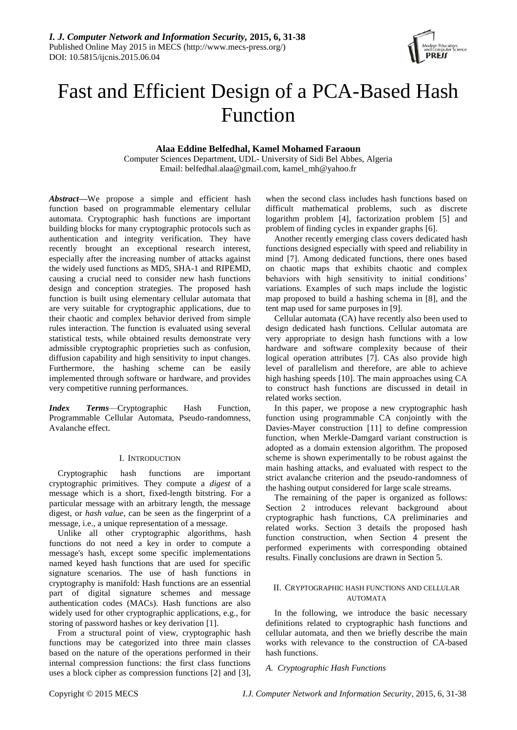

# Fast and Efficient Design of a PCA-Based Hash Function

## **Alaa Eddine Belfedhal, Kamel Mohamed Faraoun**

Computer Sciences Department, UDL- University of Sidi Bel Abbes, Algeria Email: belfedhal.alaa@gmail.com, kamel\_mh@yahoo.fr

*Abstract***—**We propose a simple and efficient hash function based on programmable elementary cellular automata. Cryptographic hash functions are important building blocks for many cryptographic protocols such as authentication and integrity verification. They have recently brought an exceptional research interest, especially after the increasing number of attacks against the widely used functions as MD5, SHA-1 and RIPEMD, causing a crucial need to consider new hash functions design and conception strategies. The proposed hash function is built using elementary cellular automata that are very suitable for cryptographic applications, due to their chaotic and complex behavior derived from simple rules interaction. The function is evaluated using several statistical tests, while obtained results demonstrate very admissible cryptographic proprieties such as confusion, diffusion capability and high sensitivity to input changes. Furthermore, the hashing scheme can be easily implemented through software or hardware, and provides very competitive running performances.

*Index Terms*—Cryptographic Hash Function, Programmable Cellular Automata, Pseudo-randomness, Avalanche effect.

## I. INTRODUCTION

Cryptographic hash functions are important cryptographic primitives. They compute a *digest* of a message which is a short, fixed-length bitstring. For a particular message with an arbitrary length, the message digest, or *hash value*, can be seen as the fingerprint of a message, i.e., a unique representation of a message.

Unlike all other cryptographic algorithms, hash functions do not need a key in order to compute a message's hash, except some specific implementations named keyed hash functions that are used for specific signature scenarios. The use of hash functions in cryptography is manifold: Hash functions are an essential part of digital signature schemes and message authentication codes (MACs). Hash functions are also widely used for other cryptographic applications, e.g., for storing of password hashes or key derivation [1].

From a structural point of view, cryptographic hash functions may be categorized into three main classes based on the nature of the operations performed in their internal compression functions: the first class functions uses a block cipher as compression functions [2] and [3], when the second class includes hash functions based on difficult mathematical problems, such as discrete logarithm problem [4], factorization problem [5] and problem of finding cycles in expander graphs [6].

Another recently emerging class covers dedicated hash functions designed especially with speed and reliability in mind [7]. Among dedicated functions, there ones based on chaotic maps that exhibits chaotic and complex behaviors with high sensitivity to initial conditions' variations. Examples of such maps include the logistic map proposed to build a hashing schema in [8], and the tent map used for same purposes in [9].

Cellular automata (CA) have recently also been used to design dedicated hash functions. Cellular automata are very appropriate to design hash functions with a low hardware and software complexity because of their logical operation attributes [7]. CAs also provide high level of parallelism and therefore, are able to achieve high hashing speeds [10]. The main approaches using CA to construct hash functions are discussed in detail in related works section.

In this paper, we propose a new cryptographic hash function using programmable CA conjointly with the Davies-Mayer construction [11] to define compression function, when Merkle-Damgard variant construction is adopted as a domain extension algorithm. The proposed scheme is shown experimentally to be robust against the main hashing attacks, and evaluated with respect to the strict avalanche criterion and the pseudo-randomness of the hashing output considered for large scale streams.

The remaining of the paper is organized as follows: Section 2 introduces relevant background about cryptographic hash functions, CA preliminaries and related works. Section 3 details the proposed hash function construction, when Section 4 present the performed experiments with corresponding obtained results. Finally conclusions are drawn in Section 5.

## II. CRYPTOGRAPHIC HASH FUNCTIONS AND CELLULAR AUTOMATA

In the following, we introduce the basic necessary definitions related to cryptographic hash functions and cellular automata, and then we briefly describe the main works with relevance to the construction of CA-based hash functions.

## *A. Cryptographic Hash Functions*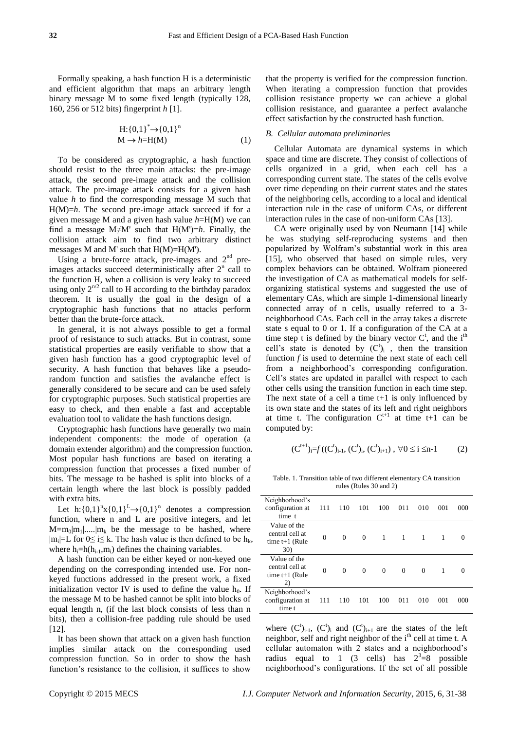Formally speaking, a hash function H is a deterministic and efficient algorithm that maps an arbitrary length binary message M to some fixed length (typically 128, 160, 256 or 512 bits) fingerprint *h* [1].

$$
H: \{0,1\}^* \to \{0,1\}^n
$$
  
\n
$$
M \to h=H(M)
$$
 (1)

To be considered as cryptographic, a hash function should resist to the three main attacks: the pre-image attack, the second pre-image attack and the collision attack. The pre-image attack consists for a given hash value *h* to find the corresponding message M such that H(M)=*h*. The second pre-image attack succeed if for a given message M and a given hash value *h*=H(M) we can find a message M $\neq$ M' such that H(M')=*h*. Finally, the collision attack aim to find two arbitrary distinct messages M and M' such that  $H(M)=H(M')$ .

Using a brute-force attack, pre-images and  $2<sup>nd</sup>$  preimages attacks succeed deterministically after  $2<sup>n</sup>$  call to the function H, when a collision is very leaky to succeed using only  $2^{n/2}$  call to H according to the birthday paradox theorem. It is usually the goal in the design of a cryptographic hash functions that no attacks perform better than the brute-force attack.

In general, it is not always possible to get a formal proof of resistance to such attacks. But in contrast, some statistical properties are easily verifiable to show that a given hash function has a good cryptographic level of security. A hash function that behaves like a pseudorandom function and satisfies the avalanche effect is generally considered to be secure and can be used safely for cryptographic purposes. Such statistical properties are easy to check, and then enable a fast and acceptable evaluation tool to validate the hash functions design.

Cryptographic hash functions have generally two main independent components: the mode of operation (a domain extender algorithm) and the compression function. Most popular hash functions are based on iterating a compression function that processes a fixed number of bits. The message to be hashed is split into blocks of a certain length where the last block is possibly padded with extra bits.

Let  $h: \{0,1\}^n \times \{0,1\}^L \rightarrow \{0,1\}^n$  denotes a compression function, where n and L are positive integers, and let  $M=m_0|m_1|...|m_k$  be the message to be hashed, where  $|m_i|=L$  for  $0 \le i \le k$ . The hash value is then defined to be  $h_k$ , where  $h_i=h(h_{i-1},m_i)$  defines the chaining variables.

A hash function can be either keyed or non-keyed one depending on the corresponding intended use. For nonkeyed functions addressed in the present work, a fixed initialization vector IV is used to define the value  $h_0$ . If the message M to be hashed cannot be split into blocks of equal length n, (if the last block consists of less than n bits), then a collision-free padding rule should be used [12].

It has been shown that attack on a given hash function implies similar attack on the corresponding used compression function. So in order to show the hash function's resistance to the collision, it suffices to show

that the property is verified for the compression function. When iterating a compression function that provides collision resistance property we can achieve a global collision resistance, and guarantee a perfect avalanche effect satisfaction by the constructed hash function.

#### *B. Cellular automata preliminaries*

Cellular Automata are dynamical systems in which space and time are discrete. They consist of collections of cells organized in a grid, when each cell has a corresponding current state. The states of the cells evolve over time depending on their current states and the states of the neighboring cells, according to a local and identical interaction rule in the case of uniform CAs, or different interaction rules in the case of non-uniform CAs [13].

CA were originally used by von Neumann [14] while he was studying self-reproducing systems and then popularized by Wolfram's substantial work in this area [15], who observed that based on simple rules, very complex behaviors can be obtained. Wolfram pioneered the investigation of CA as mathematical models for selforganizing statistical systems and suggested the use of elementary CAs, which are simple 1-dimensional linearly connected array of n cells, usually referred to a 3 neighborhood CAs. Each cell in the array takes a discrete state s equal to 0 or 1. If a configuration of the CA at a time step t is defined by the binary vector  $C^t$ , and the i<sup>th</sup> cell's state is denoted by  $(C^t)_i$ , then the transition function *f* is used to determine the next state of each cell from a neighborhood's corresponding configuration. Cell's states are updated in parallel with respect to each other cells using the transition function in each time step. The next state of a cell a time  $t+1$  is only influenced by its own state and the states of its left and right neighbors at time t. The configuration  $C^{t+1}$  at time t+1 can be computed by:

$$
(C^{t+1})_{i}=f((C^{t})_{i-1}, (C^{t})_{i}, (C^{t})_{i+1}), \forall 0 \leq i \leq n-1 \qquad \qquad (2)
$$

Table. 1. Transition table of two different elementary CA transition rules (Rules 30 and 2)

| Neighborhood's<br>configuration at<br>time t               | 111      | 110      | 101      | 100      | 011 | 010      | 001 | 000      |
|------------------------------------------------------------|----------|----------|----------|----------|-----|----------|-----|----------|
| Value of the<br>central cell at<br>time $t+1$ (Rule<br>30) | $\theta$ | $\Omega$ | $\Omega$ | 1        | 1   | 1        | 1   |          |
| Value of the<br>central cell at<br>time $t+1$ (Rule<br>2)  | $\theta$ | $\Omega$ | 0        | $\Omega$ | 0   | $\Omega$ | 1   | $\Omega$ |
| Neighborhood's<br>configuration at<br>time t               | 111      | 110      | 101      | 100      | 011 | 010      | 001 | 000      |

where  $(C^t)_{i-1}$ ,  $(C^t)_i$  and  $(C^t)_{i+1}$  are the states of the left neighbor, self and right neighbor of the  $i<sup>th</sup>$  cell at time t. A cellular automaton with 2 states and a neighborhood's radius equal to 1 (3 cells) has  $2^3=8$  possible neighborhood's configurations. If the set of all possible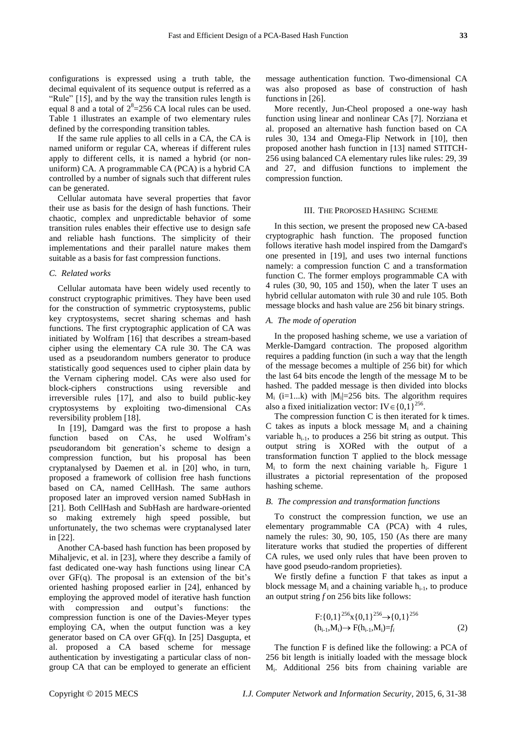configurations is expressed using a truth table, the decimal equivalent of its sequence output is referred as a "Rule" [15], and by the way the transition rules length is equal 8 and a total of  $2^8 = 256$  CA local rules can be used. Table 1 illustrates an example of two elementary rules defined by the corresponding transition tables.

If the same rule applies to all cells in a CA, the CA is named uniform or regular CA, whereas if different rules apply to different cells, it is named a hybrid (or nonuniform) CA. A programmable CA (PCA) is a hybrid CA controlled by a number of signals such that different rules can be generated.

Cellular automata have several properties that favor their use as basis for the design of hash functions. Their chaotic, complex and unpredictable behavior of some transition rules enables their effective use to design safe and reliable hash functions. The simplicity of their implementations and their parallel nature makes them suitable as a basis for fast compression functions.

#### *C. Related works*

Cellular automata have been widely used recently to construct cryptographic primitives. They have been used for the construction of symmetric cryptosystems, public key cryptosystems, secret sharing schemas and hash functions. The first cryptographic application of CA was initiated by Wolfram [16] that describes a stream-based cipher using the elementary CA rule 30. The CA was used as a pseudorandom numbers generator to produce statistically good sequences used to cipher plain data by the Vernam ciphering model. CAs were also used for block-ciphers constructions using reversible and irreversible rules [17], and also to build public-key cryptosystems by exploiting two-dimensional CAs reversibility problem [18].

In [19], Damgard was the first to propose a hash function based on CAs, he used Wolfram's pseudorandom bit generation's scheme to design a compression function, but his proposal has been cryptanalysed by Daemen et al. in [20] who, in turn, proposed a framework of collision free hash functions based on CA, named CellHash. The same authors proposed later an improved version named SubHash in [21]. Both CellHash and SubHash are hardware-oriented so making extremely high speed possible, but unfortunately, the two schemas were cryptanalysed later in [22].

Another CA-based hash function has been proposed by Mihaljevic, et al. in [23], where they describe a family of fast dedicated one-way hash functions using linear CA over  $GF(q)$ . The proposal is an extension of the bit's oriented hashing proposed earlier in [24], enhanced by employing the approved model of iterative hash function with compression and output's functions: compression function is one of the Davies-Meyer types employing CA, when the output function was a key generator based on CA over GF(q). In [25] Dasgupta, et al. proposed a CA based scheme for message authentication by investigating a particular class of nongroup CA that can be employed to generate an efficient

message authentication function. Two-dimensional CA was also proposed as base of construction of hash functions in [26].

More recently, Jun-Cheol proposed a one-way hash function using linear and nonlinear CAs [7]. Norziana et al. proposed an alternative hash function based on CA rules 30, 134 and Omega-Flip Network in [10], then proposed another hash function in [13] named STITCH-256 using balanced CA elementary rules like rules: 29, 39 and 27, and diffusion functions to implement the compression function.

#### III. THE PROPOSED HASHING SCHEME

In this section, we present the proposed new CA-based cryptographic hash function. The proposed function follows iterative hash model inspired from the Damgard's one presented in [19], and uses two internal functions namely: a compression function C and a transformation function C. The former employs programmable CA with 4 rules (30, 90, 105 and 150), when the later T uses an hybrid cellular automaton with rule 30 and rule 105. Both message blocks and hash value are 256 bit binary strings.

## *A. The mode of operation*

In the proposed hashing scheme, we use a variation of Merkle-Damgard contraction. The proposed algorithm requires a padding function (in such a way that the length of the message becomes a multiple of 256 bit) for which the last 64 bits encode the length of the message M to be hashed. The padded message is then divided into blocks  $M_i$  (i=1...k) with  $|M_i|=256$  bits. The algorithm requires also a fixed initialization vector: IV $\in$  {0,1}<sup>256</sup>.

The compression function C is then iterated for k times. C takes as inputs a block message  $M_i$  and a chaining variable  $h_{i-1}$ , to produces a 256 bit string as output. This output string is XORed with the output of a transformation function T applied to the block message  $M_i$  to form the next chaining variable  $h_i$ . Figure 1 illustrates a pictorial representation of the proposed hashing scheme.

#### *B. The compression and transformation functions*

To construct the compression function, we use an elementary programmable CA (PCA) with 4 rules, namely the rules: 30, 90, 105, 150 (As there are many literature works that studied the properties of different CA rules, we used only rules that have been proven to have good pseudo-random proprieties).

We firstly define a function F that takes as input a block message  $M_i$  and a chaining variable  $h_{i-1}$ , to produce an output string *f* on 256 bits like follows:

$$
F: \{0,1\}^{256} \times \{0,1\}^{256} \to \{0,1\}^{256}
$$
  
(h<sub>i-1</sub>,M<sub>i</sub>)  $\to$  F(h<sub>i-1</sub>,M<sub>i</sub>) $=f_i$  (2)

The function F is defined like the following: a PCA of 256 bit length is initially loaded with the message block Mi . Additional 256 bits from chaining variable are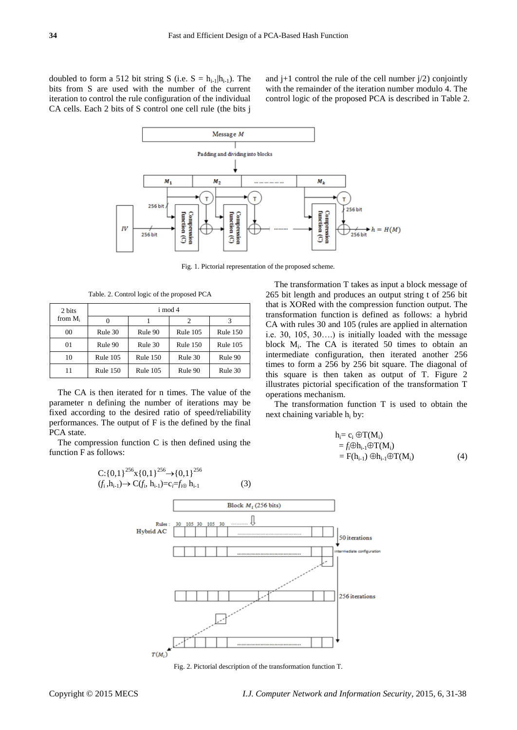doubled to form a 512 bit string S (i.e.  $S = h_{i-1} | h_{i-1} |$ ). The bits from S are used with the number of the current iteration to control the rule configuration of the individual CA cells. Each 2 bits of S control one cell rule (the bits j

and  $j+1$  control the rule of the cell number  $j/2$ ) conjointly with the remainder of the iteration number modulo 4. The control logic of the proposed PCA is described in Table 2.



Fig. 1. Pictorial representation of the proposed scheme.

Table. 2. Control logic of the proposed PCA

| 2 bits     | i mod 4    |            |                 |            |  |  |
|------------|------------|------------|-----------------|------------|--|--|
| from $M_i$ |            |            | 2               |            |  |  |
| 00         | Rule 30    | Rule 90    | Rule $105$      | Rule $150$ |  |  |
| 01         | Rule 90    | Rule 30    | <b>Rule 150</b> | Rule $105$ |  |  |
| 10         | Rule $105$ | Rule $150$ | Rule 30         | Rule 90    |  |  |
|            | Rule $150$ | Rule $105$ | Rule 90         | Rule 30    |  |  |

The CA is then iterated for n times. The value of the parameter n defining the number of iterations may be fixed according to the desired ratio of speed/reliability performances. The output of F is the defined by the final PCA state.

The compression function C is then defined using the function F as follows:

 $C:\{0,1\}^{256} \times \{0,1\}^{256} \rightarrow \{0,1\}^{256}$ 



The transformation function T is used to obtain the next chaining variable h<sub>i</sub> by:

$$
h_i = c_i \oplus T(M_i)
$$
  
=  $f_i \oplus h_{i-1} \oplus T(M_i)$   
=  $F(h_{i-1}) \oplus h_{i-1} \oplus T(M_i)$  (4)



Fig. 2. Pictorial description of the transformation function T.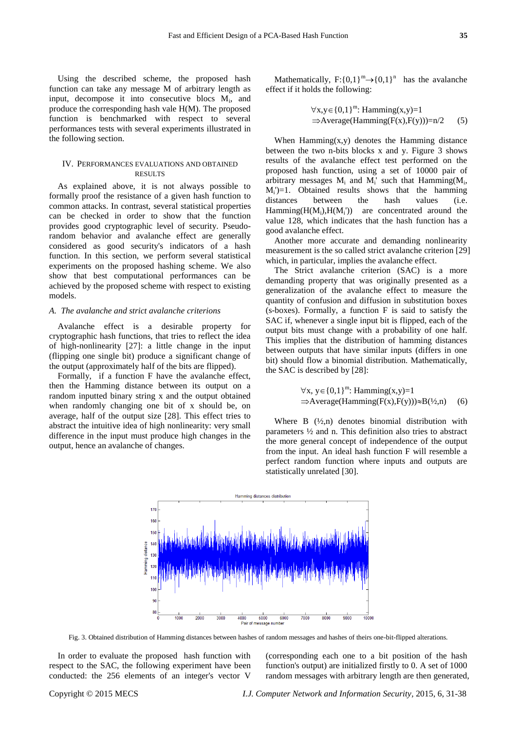Using the described scheme, the proposed hash function can take any message M of arbitrary length as input, decompose it into consecutive blocs M<sub>i</sub>, and produce the corresponding hash vale H(M). The proposed function is benchmarked with respect to several performances tests with several experiments illustrated in the following section.

## IV. PERFORMANCES EVALUATIONS AND OBTAINED RESULTS

As explained above, it is not always possible to formally proof the resistance of a given hash function to common attacks. In contrast, several statistical properties can be checked in order to show that the function provides good cryptographic level of security. Pseudorandom behavior and avalanche effect are generally considered as good security's indicators of a hash function. In this section, we perform several statistical experiments on the proposed hashing scheme. We also show that best computational performances can be achieved by the proposed scheme with respect to existing models.

### *A. The avalanche and strict avalanche criterions*

Avalanche effect is a desirable property for cryptographic hash functions, that tries to reflect the idea of high-nonlinearity [27]: a little change in the input (flipping one single bit) produce a significant change of the output (approximately half of the bits are flipped).

Formally, if a function F have the avalanche effect, then the Hamming distance between its output on a random inputted binary string x and the output obtained when randomly changing one bit of x should be, on average, half of the output size [28]. This effect tries to abstract the intuitive idea of high nonlinearity: very small difference in the input must produce high changes in the output, hence an avalanche of changes.

Mathematically,  $F: \{0,1\}^m \rightarrow \{0,1\}^n$  has the avalanche effect if it holds the following:

$$
\forall x, y \in \{0, 1\}^{m}: Hamming(x, y) = 1
$$
  
\n
$$
\Rightarrow Average(Hamming(F(x), F(y))) = n/2
$$
 (5)

When  $Hamming(x,y)$  denotes the Hamming distance between the two n-bits blocks x and y. Figure 3 shows results of the avalanche effect test performed on the proposed hash function, using a set of 10000 pair of arbitrary messages  $M_i$  and  $M_i$ ' such that Hamming( $M_i$ ,  $M_i$ <sup>'</sup> $)=1$ . Obtained results shows that the hamming distances between the hash values (i.e.  $Hamming(H(M_i), H(M_i'))$  are concentrated around the value 128, which indicates that the hash function has a good avalanche effect.

Another more accurate and demanding nonlinearity measurement is the so called strict avalanche criterion [29] which, in particular, implies the avalanche effect.

The Strict avalanche criterion (SAC) is a more demanding property that was originally presented as a generalization of the avalanche effect to measure the quantity of confusion and diffusion in substitution boxes (s-boxes). Formally, a function F is said to satisfy the SAC if, whenever a single input bit is flipped, each of the output bits must change with a probability of one half. This implies that the distribution of hamming distances between outputs that have similar inputs (differs in one bit) should flow a binomial distribution. Mathematically, the SAC is described by [28]:

$$
\forall x, y \in \{0,1\}^{m}: Hamming(x,y)=1
$$
  
\n
$$
\Rightarrow Average(Hamming(F(x), F(y))) \approx B(\frac{1}{2}, n)
$$
 (6)

Where B  $(\frac{1}{2}, n)$  denotes binomial distribution with parameters ½ and n. This definition also tries to abstract the more general concept of independence of the output from the input. An ideal hash function F will resemble a perfect random function where inputs and outputs are statistically unrelated [30].



Fig. 3. Obtained distribution of Hamming distances between hashes of random messages and hashes of theirs one-bit-flipped alterations.

In order to evaluate the proposed hash function with respect to the SAC, the following experiment have been conducted: the 256 elements of an integer's vector V (corresponding each one to a bit position of the hash function's output) are initialized firstly to 0. A set of 1000 random messages with arbitrary length are then generated,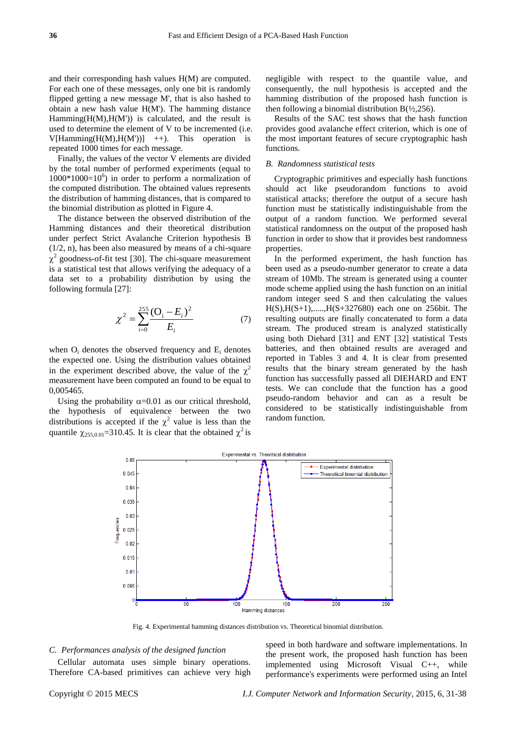and their corresponding hash values H(M) are computed. For each one of these messages, only one bit is randomly flipped getting a new message M', that is also hashed to obtain a new hash value  $H(M')$ . The hamming distance Hamming $(H(M), H(M'))$  is calculated, and the result is used to determine the element of V to be incremented (i.e.  $V[Hamming(H(M), H(M'))]$  ++). This operation is repeated 1000 times for each message.

Finally, the values of the vector V elements are divided by the total number of performed experiments (equal to  $1000*1000=10<sup>6</sup>$ ) in order to perform a normalization of the computed distribution. The obtained values represents the distribution of hamming distances, that is compared to the binomial distribution as plotted in Figure 4.

The distance between the observed distribution of the Hamming distances and their theoretical distribution under perfect Strict Avalanche Criterion hypothesis B (1/2, n), has been also measured by means of a chi-square  $\chi^2$  goodness-of-fit test [30]. The chi-square measurement is a statistical test that allows verifying the adequacy of a data set to a probability distribution by using the following formula [27]:

$$
\chi^2 = \sum_{i=0}^{255} \frac{\left(O_i - E_i\right)^2}{E_i} \tag{7}
$$

when  $O_i$  denotes the observed frequency and  $E_i$  denotes the expected one. Using the distribution values obtained in the experiment described above, the value of the  $\chi^2$ measurement have been computed an found to be equal to 0,005465.

Using the probability  $\alpha$ =0.01 as our critical threshold, the hypothesis of equivalence between the two distributions is accepted if the  $\chi^2$  value is less than the quantile  $\chi_{255,0.01}$ =310.45. It is clear that the obtained  $\chi^2$  is negligible with respect to the quantile value, and consequently, the null hypothesis is accepted and the hamming distribution of the proposed hash function is then following a binomial distribution  $B(\frac{1}{2}, 256)$ .

Results of the SAC test shows that the hash function provides good avalanche effect criterion, which is one of the most important features of secure cryptographic hash functions.

#### *B. Randomness statistical tests*

Cryptographic primitives and especially hash functions should act like pseudorandom functions to avoid statistical attacks; therefore the output of a secure hash function must be statistically indistinguishable from the output of a random function. We performed several statistical randomness on the output of the proposed hash function in order to show that it provides best randomness properties.

In the performed experiment, the hash function has been used as a pseudo-number generator to create a data stream of 10Mb. The stream is generated using a counter mode scheme applied using the hash function on an initial random integer seed S and then calculating the values H(S),H(S+1),.....,H(S+327680) each one on 256bit. The resulting outputs are finally concatenated to form a data stream. The produced stream is analyzed statistically using both Diehard [31] and ENT [32] statistical Tests batteries, and then obtained results are averaged and reported in Tables 3 and 4. It is clear from presented results that the binary stream generated by the hash function has successfully passed all DIEHARD and ENT tests. We can conclude that the function has a good pseudo-random behavior and can as a result be considered to be statistically indistinguishable from random function.



Fig. 4. Experimental hamming distances distribution vs. Theoretical binomial distribution.

#### *C. Performances analysis of the designed function*

Cellular automata uses simple binary operations. Therefore CA-based primitives can achieve very high speed in both hardware and software implementations. In the present work, the proposed hash function has been implemented using Microsoft Visual C++, while performance's experiments were performed using an Intel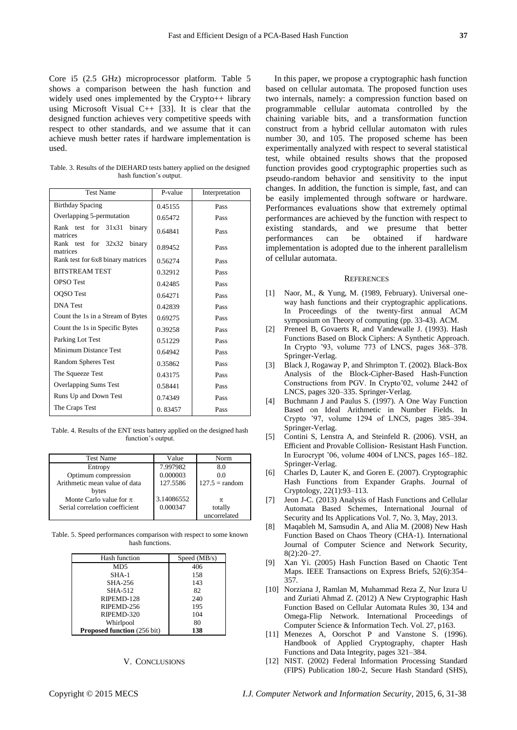Core i5 (2.5 GHz) microprocessor platform. Table 5 shows a comparison between the hash function and widely used ones implemented by the Crypto++ library using Microsoft Visual  $C_{++}$  [33]. It is clear that the designed function achieves very competitive speeds with respect to other standards, and we assume that it can achieve mush better rates if hardware implementation is used.

Table. 3. Results of the DIEHARD tests battery applied on the designed hash function's output.

| <b>Test Name</b>                          | P-value | Interpretation |  |
|-------------------------------------------|---------|----------------|--|
| <b>Birthday Spacing</b>                   | 0.45155 | Pass           |  |
| Overlapping 5-permutation                 | 0.65472 | Pass           |  |
| Rank test for 31x31<br>binary<br>matrices | 0.64841 | Pass           |  |
| Rank test for 32x32<br>binary<br>matrices | 0.89452 | Pass           |  |
| Rank test for 6x8 binary matrices         | 0.56274 | Pass           |  |
| <b>BITSTREAM TEST</b>                     | 0.32912 | Pass           |  |
| <b>OPSO</b> Test                          | 0.42485 | Pass           |  |
| OQSO Test                                 | 0.64271 | Pass           |  |
| <b>DNA</b> Test                           | 0.42839 | Pass           |  |
| Count the 1s in a Stream of Bytes         | 0.69275 | Pass           |  |
| Count the 1s in Specific Bytes            | 0.39258 | Pass           |  |
| Parking Lot Test                          | 0.51229 | Pass           |  |
| Minimum Distance Test                     | 0.64942 | Pass           |  |
| Random Spheres Test                       | 0.35862 | Pass           |  |
| The Squeeze Test                          | 0.43175 | Pass           |  |
| Overlapping Sums Test                     | 0.58441 | Pass           |  |
| Runs Up and Down Test                     | 0.74349 | Pass           |  |
| The Craps Test                            | 0.83457 | Pass           |  |

Table. 4. Results of the ENT tests battery applied on the designed hash function's output.

| <b>Test Name</b>               | Value      | Norm                    |
|--------------------------------|------------|-------------------------|
| Entropy                        | 7.997982   | 8.0                     |
| Optimum compression            | 0.000003   | 0.0                     |
| Arithmetic mean value of data  | 127.5586   | $127.5 = \text{random}$ |
| bytes                          |            |                         |
| Monte Carlo value for $\pi$    | 3.14086552 | π                       |
| Serial correlation coefficient | 0.000347   | totally                 |
|                                |            | uncorrelated            |

Table. 5. Speed performances comparison with respect to some known hash functions.

| Hash function                      | Speed $(MB/s)$ |
|------------------------------------|----------------|
| M <sub>D5</sub>                    | 406            |
| $SHA-1$                            | 158            |
| SHA-256                            | 143            |
| SHA-512                            | 82             |
| RIPEMD-128                         | 240            |
| RIPEMD-256                         | 195            |
| RIPEMD-320                         | 104            |
| Whirlpool                          | 80             |
| <b>Proposed function</b> (256 bit) | 138            |

## V. CONCLUSIONS

In this paper, we propose a cryptographic hash function based on cellular automata. The proposed function uses two internals, namely: a compression function based on programmable cellular automata controlled by the chaining variable bits, and a transformation function construct from a hybrid cellular automaton with rules number 30, and 105. The proposed scheme has been experimentally analyzed with respect to several statistical test, while obtained results shows that the proposed function provides good cryptographic properties such as pseudo-random behavior and sensitivity to the input changes. In addition, the function is simple, fast, and can be easily implemented through software or hardware. Performances evaluations show that extremely optimal performances are achieved by the function with respect to existing standards, and we presume that better performances can be obtained if hardware implementation is adopted due to the inherent parallelism of cellular automata.

#### **REFERENCES**

- [1] Naor, M., & Yung, M. (1989, February). Universal oneway hash functions and their cryptographic applications. In Proceedings of the twenty-first annual ACM symposium on Theory of computing (pp. 33-43). ACM.
- [2] Preneel B, Govaerts R, and Vandewalle J. (1993). Hash Functions Based on Block Ciphers: A Synthetic Approach. In Crypto '93, volume 773 of LNCS, pages 368–378. Springer-Verlag.
- [3] Black J, Rogaway P, and Shrimpton T. (2002). Black-Box Analysis of the Block-Cipher-Based Hash-Function Constructions from PGV. In Crypto'02, volume 2442 of LNCS, pages 320–335. Springer-Verlag.
- [4] Buchmann J and Paulus S. (1997). A One Way Function Based on Ideal Arithmetic in Number Fields. In Crypto '97, volume 1294 of LNCS, pages 385–394. Springer-Verlag.
- [5] Contini S, Lenstra A, and Steinfeld R. (2006). VSH, an Efficient and Provable Collision- Resistant Hash Function. In Eurocrypt '06, volume 4004 of LNCS, pages 165–182. Springer-Verlag.
- [6] Charles D, Lauter K, and Goren E. (2007). Cryptographic Hash Functions from Expander Graphs. Journal of Cryptology, 22(1):93–113.
- [7] Jeon J-C. (2013) Analysis of Hash Functions and Cellular Automata Based Schemes, International Journal of Security and Its Applications Vol. 7, No. 3, May, 2013.
- [8] Maqableh M, Samsudin A, and Alia M. (2008) New Hash Function Based on Chaos Theory (CHA-1). International Journal of Computer Science and Network Security, 8(2):20–27.
- [9] Xan Yi. (2005) Hash Function Based on Chaotic Tent Maps. IEEE Transactions on Express Briefs, 52(6):354– 357.
- [10] Norziana J, Ramlan M, Muhammad Reza Z, Nur Izura U and Zuriati Ahmad Z. (2012) A New Cryptographic Hash Function Based on Cellular Automata Rules 30, 134 and Omega-Flip Network. International Proceedings of Computer Science & Information Tech. Vol. 27, p163.
- [11] Menezes A, Oorschot P and Vanstone S. (1996). Handbook of Applied Cryptography, chapter Hash Functions and Data Integrity, pages 321–384.
- [12] NIST. (2002) Federal Information Processing Standard (FIPS) Publication 180-2, Secure Hash Standard (SHS),